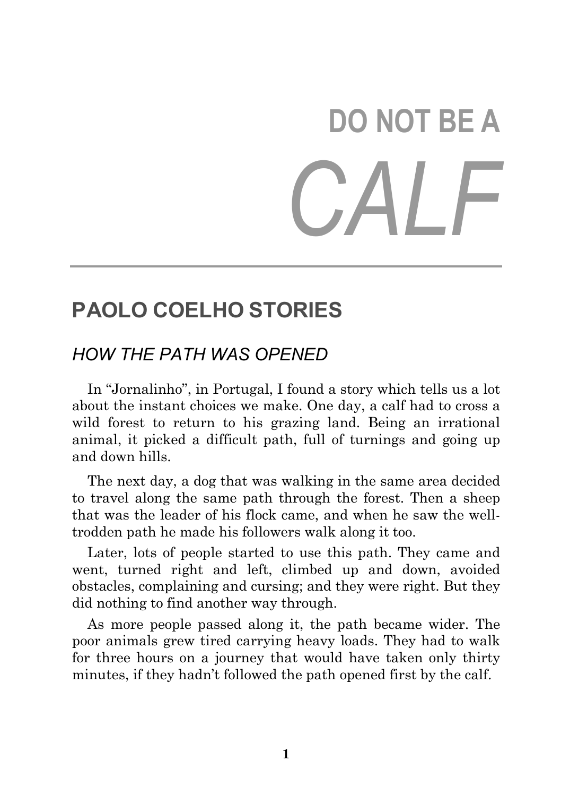# **DO NOT BE A**  *CALF*

## **PAOLO COELHO STORIES**

## *HOW THE PATH WAS OPENED*

 In "Jornalinho", in Portugal, I found a story which tells us a lot about the instant choices we make. One day, a calf had to cross a wild forest to return to his grazing land. Being an irrational animal, it picked a difficult path, full of turnings and going up and down hills.

 The next day, a dog that was walking in the same area decided to travel along the same path through the forest. Then a sheep that was the leader of his flock came, and when he saw the welltrodden path he made his followers walk along it too.

 Later, lots of people started to use this path. They came and went, turned right and left, climbed up and down, avoided obstacles, complaining and cursing; and they were right. But they did nothing to find another way through.

 As more people passed along it, the path became wider. The poor animals grew tired carrying heavy loads. They had to walk for three hours on a journey that would have taken only thirty minutes, if they hadn't followed the path opened first by the calf.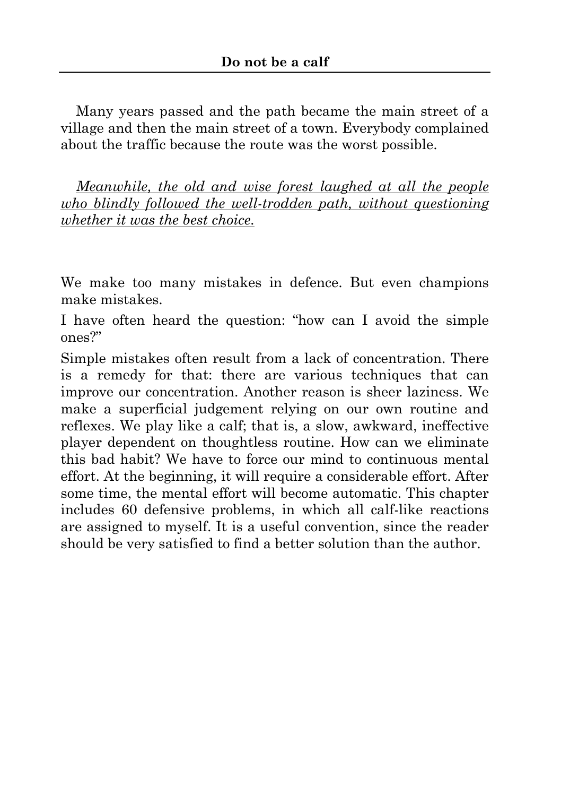Many years passed and the path became the main street of a village and then the main street of a town. Everybody complained about the traffic because the route was the worst possible.

 *Meanwhile, the old and wise forest laughed at all the people who blindly followed the well-trodden path, without questioning whether it was the best choice.*

We make too many mistakes in defence. But even champions make mistakes.

I have often heard the question: "how can I avoid the simple ones?"

Simple mistakes often result from a lack of concentration. There is a remedy for that: there are various techniques that can improve our concentration. Another reason is sheer laziness. We make a superficial judgement relying on our own routine and reflexes. We play like a calf; that is, a slow, awkward, ineffective player dependent on thoughtless routine. How can we eliminate this bad habit? We have to force our mind to continuous mental effort. At the beginning, it will require a considerable effort. After some time, the mental effort will become automatic. This chapter includes 60 defensive problems, in which all calf-like reactions are assigned to myself. It is a useful convention, since the reader should be very satisfied to find a better solution than the author.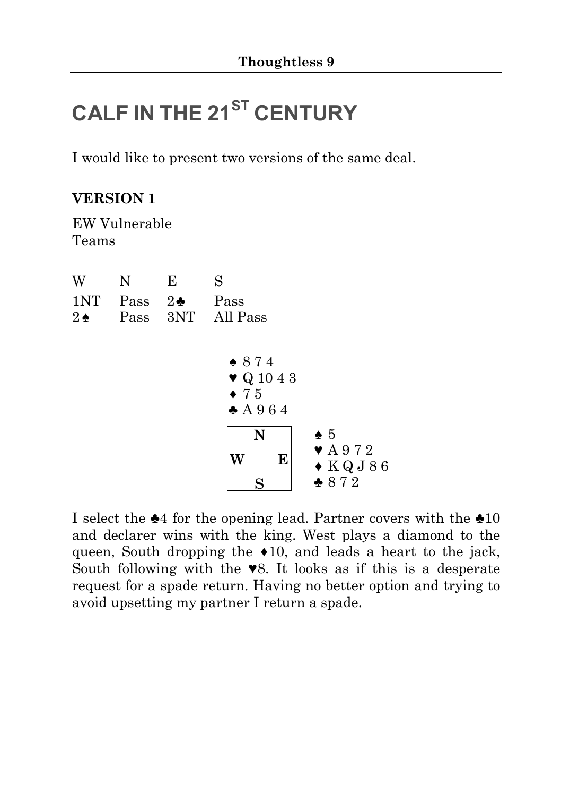## **CALF IN THE 21ST CENTURY**

I would like to present two versions of the same deal.

### **VERSION 1**

EW Vulnerable Teams

| W                    | N            | Е                   | S                                                        |                                               |
|----------------------|--------------|---------------------|----------------------------------------------------------|-----------------------------------------------|
| 1NT<br>$2\spadesuit$ | Pass<br>Pass | $2\clubsuit$<br>3NT | Pass<br>All Pass                                         |                                               |
|                      |              |                     | $* 874$<br>$\blacktriangledown Q$ 10 4 3<br>$\bullet$ 75 |                                               |
|                      |              |                     | $\triangle$ A 964<br>N<br>$\bullet$ 5                    |                                               |
|                      |              |                     | E<br>W                                                   | $\blacktriangledown$ A 972<br>$\bullet$ KQJ86 |
|                      |              |                     |                                                          | $* 872$                                       |

I select the ♣4 for the opening lead. Partner covers with the ♣10 and declarer wins with the king. West plays a diamond to the queen, South dropping the ♦10, and leads a heart to the jack, South following with the ♥8. It looks as if this is a desperate request for a spade return. Having no better option and trying to avoid upsetting my partner I return a spade.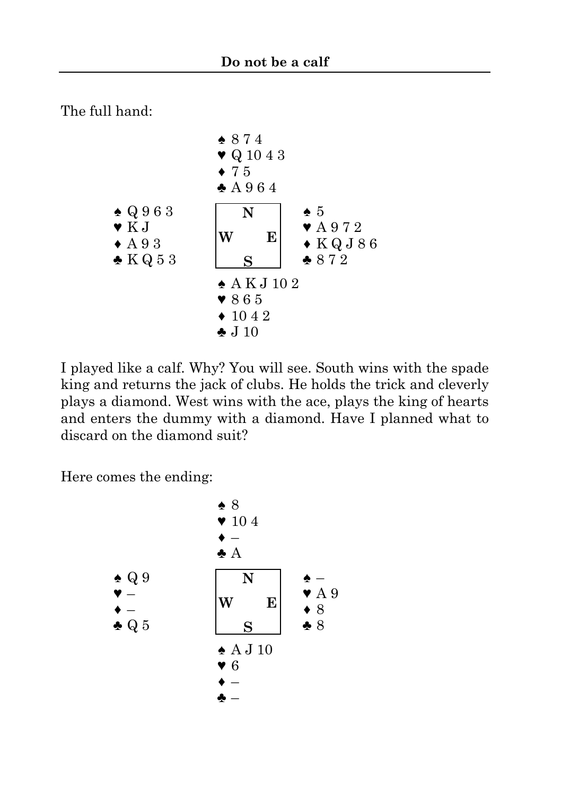The full hand:



I played like a calf. Why? You will see. South wins with the spade king and returns the jack of clubs. He holds the trick and cleverly plays a diamond. West wins with the ace, plays the king of hearts and enters the dummy with a diamond. Have I planned what to discard on the diamond suit?

Here comes the ending:

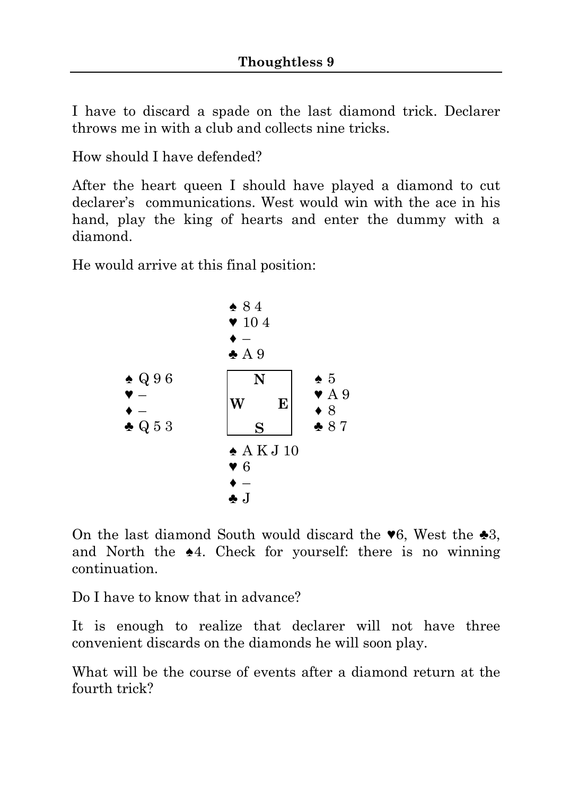I have to discard a spade on the last diamond trick. Declarer throws me in with a club and collects nine tricks.

How should I have defended?

After the heart queen I should have played a diamond to cut declarer's communications. West would win with the ace in his hand, play the king of hearts and enter the dummy with a diamond.

He would arrive at this final position:



On the last diamond South would discard the  $\blacktriangledown 6$ , West the  $\blacktriangle 3$ , and North the ♠4. Check for yourself: there is no winning continuation.

Do I have to know that in advance?

It is enough to realize that declarer will not have three convenient discards on the diamonds he will soon play.

What will be the course of events after a diamond return at the fourth trick?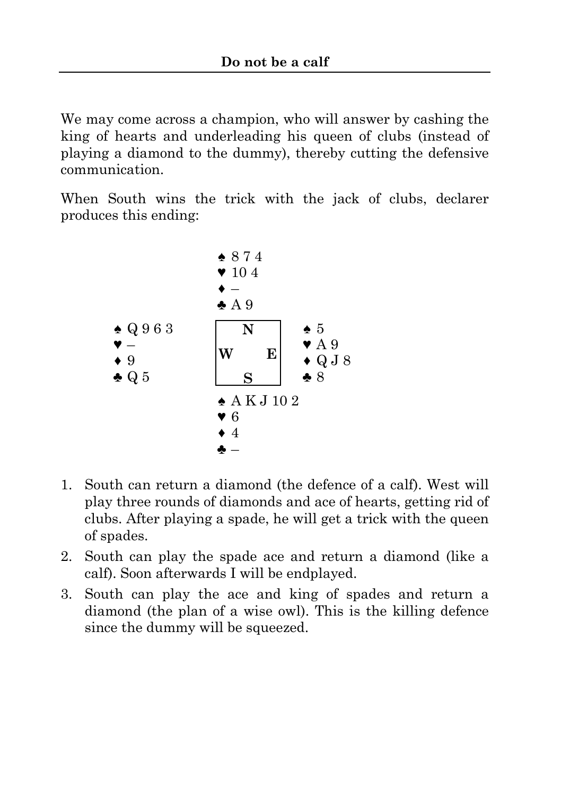We may come across a champion, who will answer by cashing the king of hearts and underleading his queen of clubs (instead of playing a diamond to the dummy), thereby cutting the defensive communication.

When South wins the trick with the jack of clubs, declarer produces this ending:



- 1. South can return a diamond (the defence of a calf). West will play three rounds of diamonds and ace of hearts, getting rid of clubs. After playing a spade, he will get a trick with the queen of spades.
- 2. South can play the spade ace and return a diamond (like a calf). Soon afterwards I will be endplayed.
- 3. South can play the ace and king of spades and return a diamond (the plan of a wise owl). This is the killing defence since the dummy will be squeezed.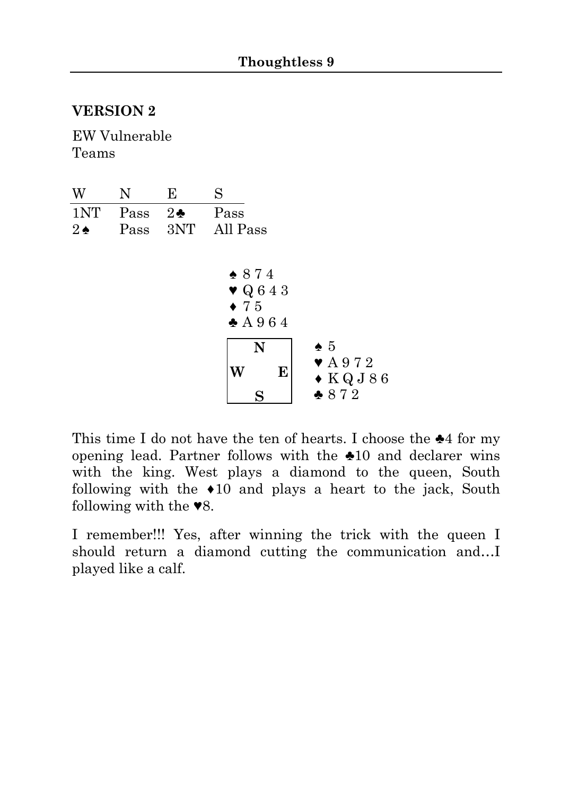#### **VERSION 2**

EW Vulnerable Teams

| W                    | $\mathbf N$  | Е                   | S                                                                            |                                                                         |
|----------------------|--------------|---------------------|------------------------------------------------------------------------------|-------------------------------------------------------------------------|
| 1NT<br>$2\spadesuit$ | Pass<br>Pass | $2\clubsuit$<br>3NT | Pass<br>All Pass                                                             |                                                                         |
|                      |              |                     | $* 874$<br>$\blacktriangledown$ Q 6 4 3<br>$\bullet$ 75<br>$\triangle$ A 964 |                                                                         |
|                      |              |                     | N<br>E                                                                       | $\bullet$ 5<br>$\blacktriangledown$ A 972<br>$\bullet$ KQJ86<br>$* 872$ |

This time I do not have the ten of hearts. I choose the ♣4 for my opening lead. Partner follows with the ♣10 and declarer wins with the king. West plays a diamond to the queen, South following with the ♦10 and plays a heart to the jack, South following with the ♥8.

I remember!!! Yes, after winning the trick with the queen I should return a diamond cutting the communication and…I played like a calf.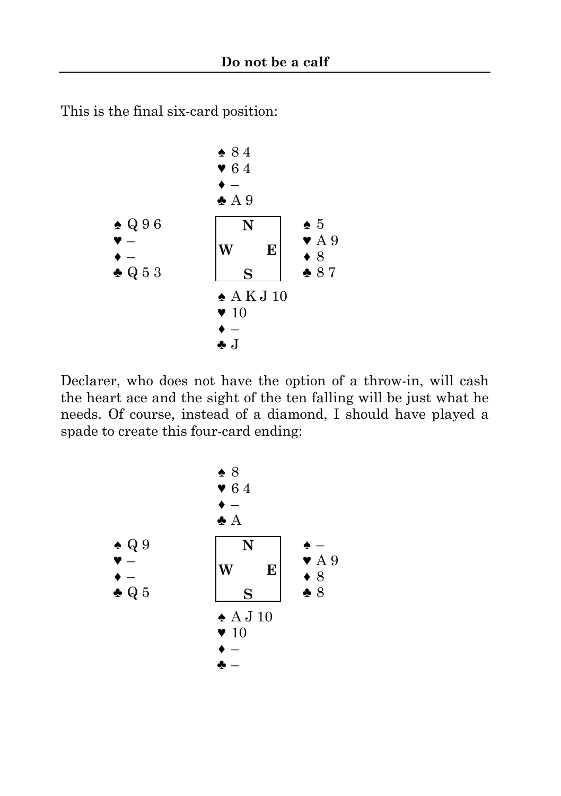This is the final six-card position:



Declarer, who does not have the option of a throw-in, will cash the heart ace and the sight of the ten falling will be just what he needs. Of course, instead of a diamond, I should have played a spade to create this four-card ending: